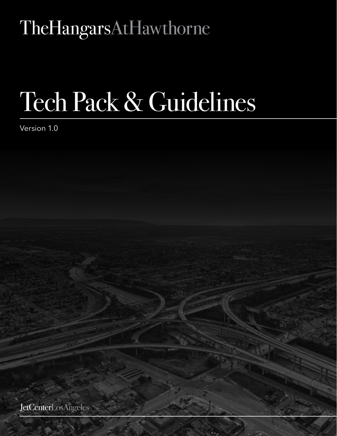## TheHangarsAtHawthorne

# Tech Pack & Guidelines

Version 1.0

JetCenterLosAngeles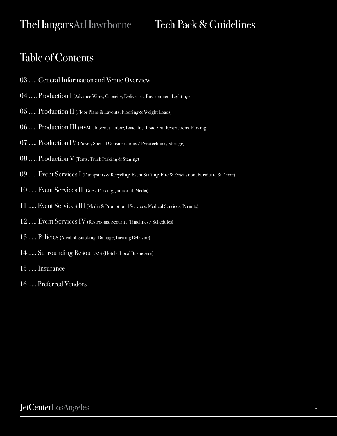TheHangarsAtHawthorne

Tech Pack & Guidelines

#### Table of Contents

- 03 ..... General Information and Venue Overview
- 04 ..... Production I (Advance Work, Capacity, Deliveries, Environment Lighting)
- 05 ..... Production II (Floor Plans & Layouts, Flooring & Weight Loads)
- 06 ..... Production III (HVAC, Internet, Labor, Load-In / Load-Out Restrictions, Parking)
- 07 ..... Production IV (Power, Special Considerations / Pyrotechnics, Storage)
- 08 ..... Production V (Tents, Truck Parking & Staging)
- 09 ..... Event Services I (Dumpsters & Recycling, Event Staffing, Fire & Evacuation, Furniture & Decor)
- 10 ..... Event Services II (Guest Parking, Janitorial, Media)
- 11 ..... Event Services III (Media & Promotional Services, Medical Services, Permits)
- 12 ..... Event Services IV (Restrooms, Security, Timelines / Schedules)
- 13 ..... Policies (Alcohol, Smoking, Damage, Inciting Behavior)
- 14 ..... Surrounding Resources (Hotels, Local Businesses)
- 15 ..... Insurance
- 16 ..... Preferred Vendors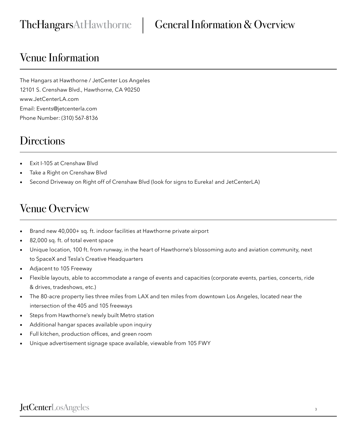#### Venue Information

The Hangars at Hawthorne / JetCenter Los Angeles 12101 S. Crenshaw Blvd., Hawthorne, CA 90250 www.JetCenterLA.com Email: Events@jetcenterla.com Phone Number: (310) 567-8136

#### **Directions**

- Exit I-105 at Crenshaw Blyd
- Take a Right on Crenshaw Blvd
- Second Driveway on Right off of Crenshaw Blvd (look for signs to Eureka! and JetCenterLA)

#### Venue Overview

- Brand new 40,000+ sq. ft. indoor facilities at Hawthorne private airport
- 82,000 sq. ft. of total event space
- Unique location, 100 ft. from runway, in the heart of Hawthorne's blossoming auto and aviation community, next to SpaceX and Tesla's Creative Headquarters
- Adjacent to 105 Freeway
- Flexible layouts, able to accommodate a range of events and capacities (corporate events, parties, concerts, ride & drives, tradeshows, etc.)
- The 80-acre property lies three miles from LAX and ten miles from downtown Los Angeles, located near the intersection of the 405 and 105 freeways
- Steps from Hawthorne's newly built Metro station
- Additional hangar spaces available upon inquiry
- Full kitchen, production offices, and green room
- Unique advertisement signage space available, viewable from 105 FWY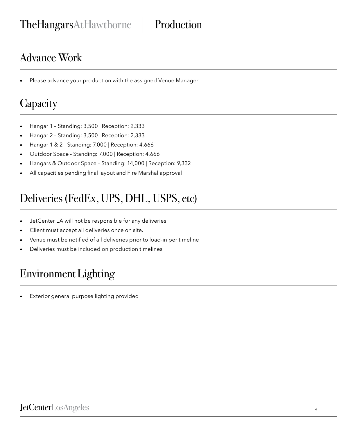#### Advance Work

Please advance your production with the assigned Venue Manager

#### **Capacity**

- Hangar 1 Standing: 3,500 | Reception: 2,333
- Hangar 2 Standing: 3,500 | Reception: 2,333
- Hangar 1 & 2 Standing: 7,000 | Reception: 4,666
- Outdoor Space Standing: 7,000 | Reception: 4,666
- Hangars & Outdoor Space Standing: 14,000 | Reception: 9,332
- All capacities pending final layout and Fire Marshal approval

### Deliveries (FedEx, UPS, DHL, USPS, etc)

- JetCenter LA will not be responsible for any deliveries
- Client must accept all deliveries once on site.
- Venue must be notified of all deliveries prior to load-in per timeline
- Deliveries must be included on production timelines

### Environment Lighting

Exterior general purpose lighting provided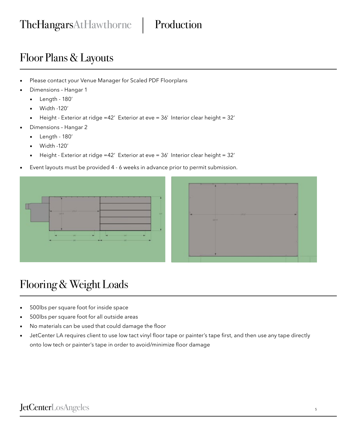#### Floor Plans & Layouts

- Please contact your Venue Manager for Scaled PDF Floorplans
- Dimensions Hangar 1
	- Length 180'
	- Width -120'
	- Height Exterior at ridge =42' Exterior at eve = 36' Interior clear height = 32'
- Dimensions Hangar 2
	- Length 180'
	- Width -120'
	- Height Exterior at ridge =42' Exterior at eve = 36' Interior clear height = 32'
- Event layouts must be provided 4 6 weeks in advance prior to permit submission.





#### Flooring & Weight Loads

- 500lbs per square foot for inside space
- 500lbs per square foot for all outside areas
- No materials can be used that could damage the floor
- JetCenter LA requires client to use low tact vinyl floor tape or painter's tape first, and then use any tape directly onto low tech or painter's tape in order to avoid/minimize floor damage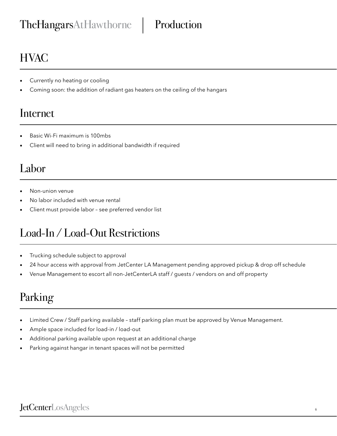#### TheHangarsAtHawthorne | Production

### **HVAC**

- Currently no heating or cooling
- Coming soon: the addition of radiant gas heaters on the ceiling of the hangars

#### Internet

- Basic Wi-Fi maximum is 100mbs
- Client will need to bring in additional bandwidth if required

#### Labor

- Non-union venue
- No labor included with venue rental
- Client must provide labor see preferred vendor list

#### Load-In / Load-Out Restrictions

- Trucking schedule subject to approval
- 24 hour access with approval from JetCenter LA Management pending approved pickup & drop off schedule
- Venue Management to escort all non-JetCenterLA staff / guests / vendors on and off property

### Parking

- Limited Crew / Staff parking available staff parking plan must be approved by Venue Management.
- Ample space included for load-in / load-out
- Additional parking available upon request at an additional charge
- Parking against hangar in tenant spaces will not be permitted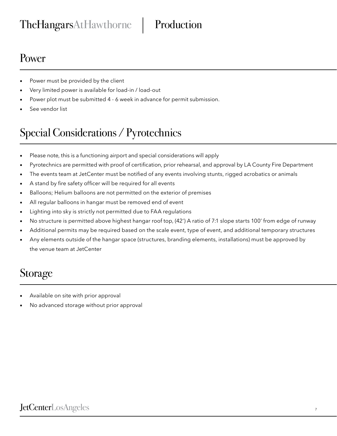#### TheHangarsAtHawthorne | Production

#### Power

- Power must be provided by the client
- Very limited power is available for load-in / load-out
- Power plot must be submitted 4 6 week in advance for permit submission.
- See vendor list

### Special Considerations / Pyrotechnics

- Please note, this is a functioning airport and special considerations will apply
- Pyrotechnics are permitted with proof of certification, prior rehearsal, and approval by LA County Fire Department
- The events team at JetCenter must be notified of any events involving stunts, rigged acrobatics or animals
- A stand by fire safety officer will be required for all events
- Balloons; Helium balloons are not permitted on the exterior of premises
- All regular balloons in hangar must be removed end of event
- Lighting into sky is strictly not permitted due to FAA regulations
- No structure is permitted above highest hangar roof top, (42') A ratio of 7:1 slope starts 100' from edge of runway
- Additional permits may be required based on the scale event, type of event, and additional temporary structures
- Any elements outside of the hangar space (structures, branding elements, installations) must be approved by the venue team at JetCenter

#### Storage

- Available on site with prior approval
- No advanced storage without prior approval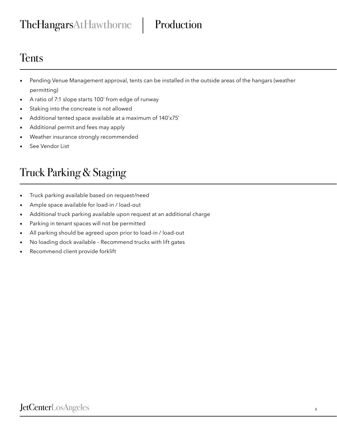#### TheHangarsAtHawthorne | Production

#### **Tents**

- Pending Venue Management approval, tents can be installed in the outside areas of the hangars (weather permitting)
- A ratio of 7:1 slope starts 100' from edge of runway
- Staking into the concreate is not allowed
- Additional tented space available at a maximum of 140'x75'
- Additional permit and fees may apply
- Weather insurance strongly recommended
- See Vendor List

### Truck Parking & Staging

- Truck parking available based on request/need
- Ample space available for load-in / load-out
- Additional truck parking available upon request at an additional charge
- Parking in tenant spaces will not be permitted
- All parking should be agreed upon prior to load-in / load-out
- No loading dock available Recommend trucks with lift gates
- Recommend client provide forklift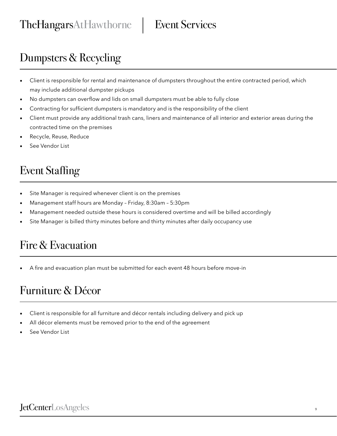#### Event Services

### Dumpsters & Recycling

- Client is responsible for rental and maintenance of dumpsters throughout the entire contracted period, which may include additional dumpster pickups
- No dumpsters can overflow and lids on small dumpsters must be able to fully close
- Contracting for sufficient dumpsters is mandatory and is the responsibility of the client
- Client must provide any additional trash cans, liners and maintenance of all interior and exterior areas during the contracted time on the premises
- Recycle, Reuse, Reduce
- See Vendor List

#### Event Staffing

- Site Manager is required whenever client is on the premises
- Management staff hours are Monday Friday, 8:30am 5:30pm
- Management needed outside these hours is considered overtime and will be billed accordingly
- Site Manager is billed thirty minutes before and thirty minutes after daily occupancy use

#### Fire & Evacuation

• A fire and evacuation plan must be submitted for each event 48 hours before move-in

#### Furniture & Décor

- Client is responsible for all furniture and décor rentals including delivery and pick up
- All décor elements must be removed prior to the end of the agreement
- See Vendor List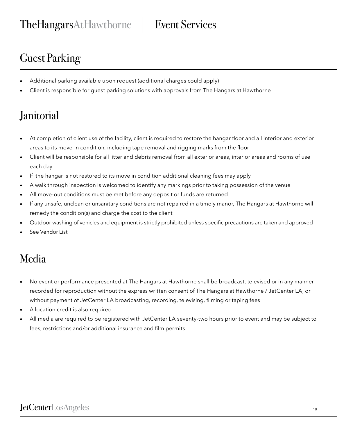### Guest Parking

- Additional parking available upon request (additional charges could apply)
- Client is responsible for guest parking solutions with approvals from The Hangars at Hawthorne

#### **Janitorial**

- At completion of client use of the facility, client is required to restore the hangar floor and all interior and exterior areas to its move-in condition, including tape removal and rigging marks from the floor
- Client will be responsible for all litter and debris removal from all exterior areas, interior areas and rooms of use each day
- If the hangar is not restored to its move in condition additional cleaning fees may apply
- A walk through inspection is welcomed to identify any markings prior to taking possession of the venue
- All move-out conditions must be met before any deposit or funds are returned
- If any unsafe, unclean or unsanitary conditions are not repaired in a timely manor, The Hangars at Hawthorne will remedy the condition(s) and charge the cost to the client
- Outdoor washing of vehicles and equipment is strictly prohibited unless specific precautions are taken and approved
- See Vendor List

#### Media

- No event or performance presented at The Hangars at Hawthorne shall be broadcast, televised or in any manner recorded for reproduction without the express written consent of The Hangars at Hawthorne / JetCenter LA, or without payment of JetCenter LA broadcasting, recording, televising, filming or taping fees
- A location credit is also required
- All media are required to be registered with JetCenter LA seventy-two hours prior to event and may be subject to fees, restrictions and/or additional insurance and film permits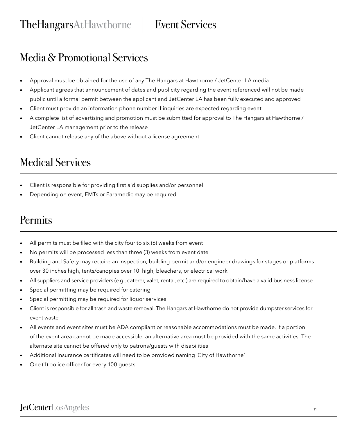#### Media & Promotional Services

- Approval must be obtained for the use of any The Hangars at Hawthorne / JetCenter LA media
- Applicant agrees that announcement of dates and publicity regarding the event referenced will not be made public until a formal permit between the applicant and JetCenter LA has been fully executed and approved
- Client must provide an information phone number if inquiries are expected regarding event
- A complete list of advertising and promotion must be submitted for approval to The Hangars at Hawthorne / JetCenter LA management prior to the release
- Client cannot release any of the above without a license agreement

#### Medical Services

- Client is responsible for providing first aid supplies and/or personnel
- Depending on event, EMTs or Paramedic may be required

#### Permits

- All permits must be filed with the city four to six (6) weeks from event
- No permits will be processed less than three (3) weeks from event date
- Building and Safety may require an inspection, building permit and/or engineer drawings for stages or platforms over 30 inches high, tents/canopies over 10' high, bleachers, or electrical work
- All suppliers and service providers (e.g., caterer, valet, rental, etc.) are required to obtain/have a valid business license
- Special permitting may be required for catering
- Special permitting may be required for liquor services
- Client is responsible for all trash and waste removal. The Hangars at Hawthorne do not provide dumpster services for event waste
- All events and event sites must be ADA compliant or reasonable accommodations must be made. If a portion of the event area cannot be made accessible, an alternative area must be provided with the same activities. The alternate site cannot be offered only to patrons/guests with disabilities
- Additional insurance certificates will need to be provided naming 'City of Hawthorne'
- One (1) police officer for every 100 guests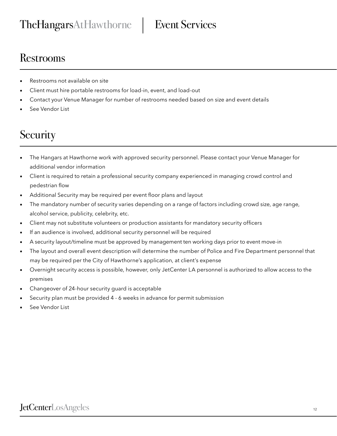#### Restrooms

- Restrooms not available on site
- Client must hire portable restrooms for load-in, event, and load-out
- Contact your Venue Manager for number of restrooms needed based on size and event details
- See Vendor List

### **Security**

- The Hangars at Hawthorne work with approved security personnel. Please contact your Venue Manager for additional vendor information
- Client is required to retain a professional security company experienced in managing crowd control and pedestrian flow
- Additional Security may be required per event floor plans and layout
- The mandatory number of security varies depending on a range of factors including crowd size, age range, alcohol service, publicity, celebrity, etc.
- Client may not substitute volunteers or production assistants for mandatory security officers
- If an audience is involved, additional security personnel will be required
- A security layout/timeline must be approved by management ten working days prior to event move-in
- The layout and overall event description will determine the number of Police and Fire Department personnel that may be required per the City of Hawthorne's application, at client's expense
- Overnight security access is possible, however, only JetCenter LA personnel is authorized to allow access to the premises
- Changeover of 24-hour security guard is acceptable
- Security plan must be provided 4 6 weeks in advance for permit submission
- See Vendor List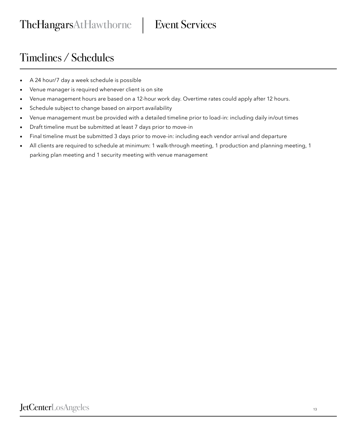#### Timelines / Schedules

- A 24 hour/7 day a week schedule is possible
- Venue manager is required whenever client is on site
- Venue management hours are based on a 12-hour work day. Overtime rates could apply after 12 hours.
- Schedule subject to change based on airport availability
- Venue management must be provided with a detailed timeline prior to load-in: including daily in/out times
- Draft timeline must be submitted at least 7 days prior to move-in
- Final timeline must be submitted 3 days prior to move-in: including each vendor arrival and departure
- All clients are required to schedule at minimum: 1 walk-through meeting, 1 production and planning meeting, 1 parking plan meeting and 1 security meeting with venue management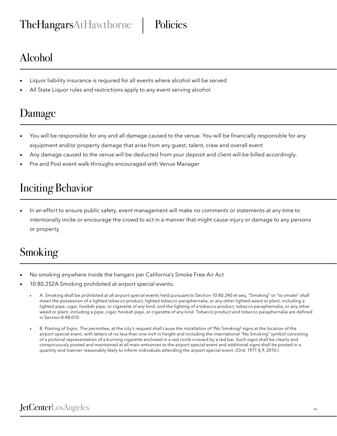### Alcohol

- Liquor liability insurance is required for all events where alcohol will be served
- All State Liquor rules and restrictions apply to any event serving alcohol

### Damage

- You will be responsible for any and all damage caused to the venue. You will be financially responsible for any equipment and/or property damage that arise from any guest, talent, crew and overall event
- Any damage caused to the venue will be deducted from your deposit and client will be billed accordingly.
- Pre and Post event walk-throughs encouraged with Venue Manager

#### Inciting Behavior

• In an effort to ensure public safety, event management will make no comments or statements at any time to intentionally incite or encourage the crowd to act in a manner that might cause injury or damage to any persons or property

#### Smoking

- No smoking anywhere inside the hangars per California's Smoke Free Air Act
- 10.80.252A Smoking prohibited at airport special events.
	- A. Smoking shall be prohibited at all airport special events held pursuant to Section 10.80.240 et seq. "Smoking" or "to smoke" shall mean the possession of a lighted tobacco product, lighted tobacco paraphernalia, or any other lighted weed or plant, including a lighted pipe, cigar, hookah pipe, or cigarette of any kind; and the lighting of a tobacco product, tobacco paraphernalia, or any other weed or plant, including a pipe, cigar, hookah pipe, or cigarette of any kind. Tobacco product and tobacco paraphernalia are defined in Section 8.48.010.
	- B. Posting of Signs. The permittee, at the city's request shall cause the installation of ³No Smoking² signs at the location of the airport special event, with letters of no less than one inch in height and including the international "No Smoking" symbol consisting of a pictorial representation of a burning cigarette enclosed in a red circle crossed by a red bar. Such signs shall be clearly and conspicuously posted and maintained at all main entrances to the airport special event and additional signs shall be posted in a quantity and manner reasonably likely to inform individuals attending the airport special event. (Ord. 1971 § 9, 2010.)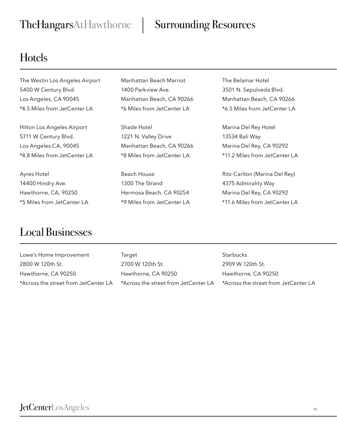#### TheHangarsAtHawthorne | Surrounding Resources

#### Hotels

The Westin Los Angeles Airport 5400 W Century Blvd. Los Angeles, CA 90045 \*4.5 Miles from JetCenter LA

Hilton Los Angeles Airport 5711 W Century Blvd. Los Angeles CA, 90045 \*4.8 Miles from JetCenter LA

Ayres Hotel 14400 Hindry Ave. Hawthorne, CA, 90250 \*5 Miles from JetCenter LA

#### Manhattan Beach Marriot 1400 Parkview Ave. Manhattan Beach, CA 90266 \*6 Miles from JetCenter LA

Shade Hotel 1221 N. Valley Drive Manhattan Beach, CA 90266 \*8 Miles from JetCenter LA

Beach House 1300 The Strand Hermosa Beach, CA 90254 \*9 Miles from JetCenter LA The Belamar Hotel 3501 N. Sepulveda Blvd. Manhattan Beach, CA 90266 \*6.5 Miles from JetCenter LA

Marina Del Rey Hotel 13534 Bali Way Marina Del Rey, CA 90292 \*11.2 Miles from JetCenter LA

Ritz-Carlton (Marina Del Rey) 4375 Admirality Way Marina Del Rey, CA 90292 \*11.6 Miles from JetCenter LA

#### Local Businesses

Lowe's Home Improvement 2800 W 120th St. Hawthorne, CA 90250 \*Across the street from JetCenter LA **Target** 2700 W 120th St. Hawthorne, CA 90250 \*Across the street from JetCenter LA **Starbucks** 2909 W 120th St. Hawthorne, CA 90250 \*Across the street from JetCenter LA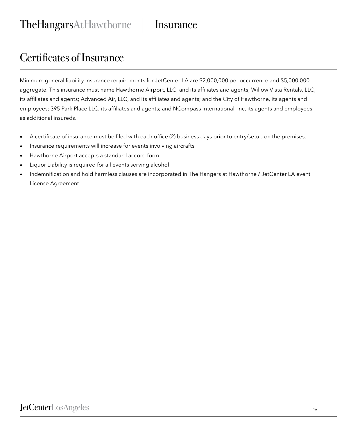TheHangarsAtHawthorne | Insurance

#### Certificates of Insurance

Minimum general liability insurance requirements for JetCenter LA are \$2,000,000 per occurrence and \$5,000,000 aggregate. This insurance must name Hawthorne Airport, LLC, and its affiliates and agents; Willow Vista Rentals, LLC, its affiliates and agents; Advanced Air, LLC, and its affiliates and agents; and the City of Hawthorne, its agents and employees; 395 Park Place LLC, its affiliates and agents; and NCompass International, Inc, its agents and employees as additional insureds.

- A certificate of insurance must be filed with each office (2) business days prior to entry/setup on the premises.
- Insurance requirements will increase for events involving aircrafts
- Hawthorne Airport accepts a standard accord form
- Liquor Liability is required for all events serving alcohol
- Indemnification and hold harmless clauses are incorporated in The Hangers at Hawthorne / JetCenter LA event License Agreement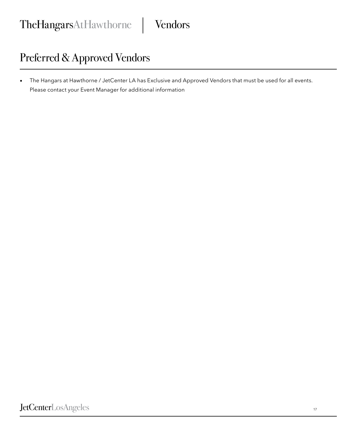#### Preferred & Approved Vendors

• The Hangars at Hawthorne / JetCenter LA has Exclusive and Approved Vendors that must be used for all events. Please contact your Event Manager for additional information